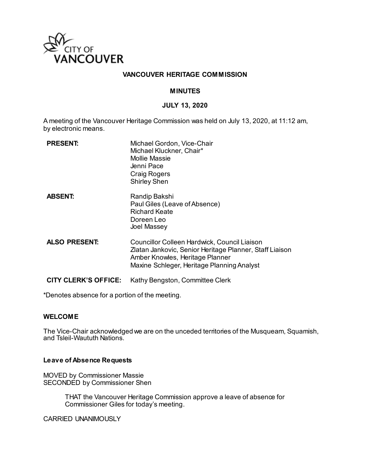

## **VANCOUVER HERITAGE COMMISSION**

### **MINUTES**

### **JULY 13, 2020**

A meeting of the Vancouver Heritage Commission was held on July 13, 2020, at 11:12 am, by electronic means.

| <b>PRESENT:</b>             | Michael Gordon, Vice-Chair<br>Michael Kluckner, Chair*<br>Mollie Massie<br>Jenni Pace<br><b>Craig Rogers</b><br><b>Shirley Shen</b>                                                      |
|-----------------------------|------------------------------------------------------------------------------------------------------------------------------------------------------------------------------------------|
| <b>ABSENT:</b>              | Randip Bakshi<br>Paul Giles (Leave of Absence)<br><b>Richard Keate</b><br>Doreen Leo<br>Joel Massey                                                                                      |
| <b>ALSO PRESENT:</b>        | Councillor Colleen Hardwick, Council Liaison<br>Zlatan Jankovic, Senior Heritage Planner, Staff Liaison<br>Amber Knowles, Heritage Planner<br>Maxine Schleger, Heritage Planning Analyst |
| <b>CITY CLERK'S OFFICE:</b> | Kathy Bengston, Committee Clerk                                                                                                                                                          |

\*Denotes absence for a portion of the meeting.

### **WELCOME**

The Vice-Chair acknowledged we are on the unceded territories of the Musqueam, Squamish, and Tsleil-Waututh Nations.

#### **Leave of Absence Requests**

MOVED by Commissioner Massie SECONDED by Commissioner Shen

> THAT the Vancouver Heritage Commission approve a leave of absence for Commissioner Giles for today's meeting.

CARRIED UNANIMOUSLY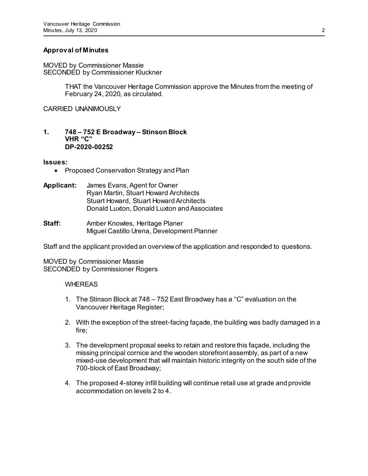# **Approval of Minutes**

MOVED by Commissioner Massie SECONDED by Commissioner Kluckner

> THAT the Vancouver Heritage Commission approve the Minutes from the meeting of February 24, 2020, as circulated.

CARRIED UNANIMOUSLY

#### **1. 748 – 752 E Broadway – Stinson Block VHR "C" DP-2020-00252**

### **Issues:**

- Proposed Conservation Strategy and Plan
- **Applicant:** James Evans, Agent for Owner Ryan Martin, Stuart Howard Architects Stuart Howard, Stuart Howard Architects Donald Luxton, Donald Luxton and Associates
- **Staff:** Amber Knowles, Heritage Planer Miguel Castillo Urena, Development Planner

Staff and the applicant provided an overview of the application and responded to questions.

MOVED by Commissioner Massie SECONDED by Commissioner Rogers

# **WHEREAS**

- 1. The Stinson Block at 748 752 East Broadway has a "C" evaluation on the Vancouver Heritage Register;
- 2. With the exception of the street-facing façade, the building was badly damaged in a fire;
- 3. The development proposal seeks to retain and restore this façade, including the missing principal cornice and the wooden storefront assembly, as part of a new mixed-use development that will maintain historic integrity on the south side of the 700-block of East Broadway;
- 4. The proposed 4-storey infill building will continue retail use at grade and provide accommodation on levels 2 to 4.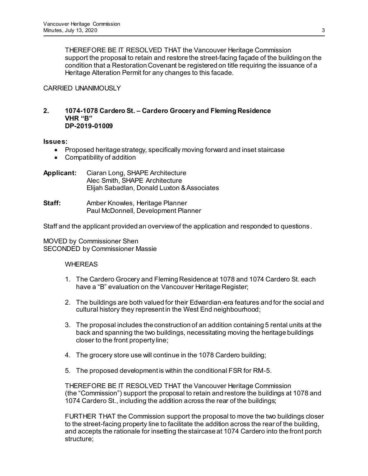THEREFORE BE IT RESOLVED THAT the Vancouver Heritage Commission support the proposal to retain and restore the street-facing façade of the building on the condition that a Restoration Covenant be registered on title requiring the issuance of a Heritage Alteration Permit for any changes to this facade.

# CARRIED UNANIMOUSLY

## **2. 1074-1078 Cardero St. – Cardero Grocery and Fleming Residence VHR "B" DP-2019-01009**

### **Issues:**

- Proposed heritage strategy, specifically moving forward and inset staircase
- Compatibility of addition
- **Applicant:** Ciaran Long, SHAPE Architecture Alec Smith, SHAPE Architecture Elijah Sabadlan, Donald Luxton & Associates
- **Staff:** Amber Knowles, Heritage Planner Paul McDonnell, Development Planner

Staff and the applicant provided an overview of the application and responded to questions .

# MOVED by Commissioner Shen SECONDED by Commissioner Massie

# WHEREAS

- 1. The Cardero Grocery and Fleming Residence at 1078 and 1074 Cardero St. each have a "B" evaluation on the Vancouver Heritage Register;
- 2. The buildings are both valued for their Edwardian-era features and for the social and cultural history they represent in the West End neighbourhood;
- 3. The proposal includes the construction of an addition containing 5 rental units at the back and spanning the two buildings, necessitating moving the heritage buildings closer to the front property line;
- 4. The grocery store use will continue in the 1078 Cardero building;
- 5. The proposed development is within the conditional FSR for RM-5.

 THEREFORE BE IT RESOLVED THAT the Vancouver Heritage Commission (the "Commission") support the proposal to retain and restore the buildings at 1078 and 1074 Cardero St., including the addition across the rear of the buildings;

FURTHER THAT the Commission support the proposal to move the two buildings closer to the street-facing property line to facilitate the addition across the rear of the building, and accepts the rationale for insetting the staircase at 1074 Cardero into the front porch structure;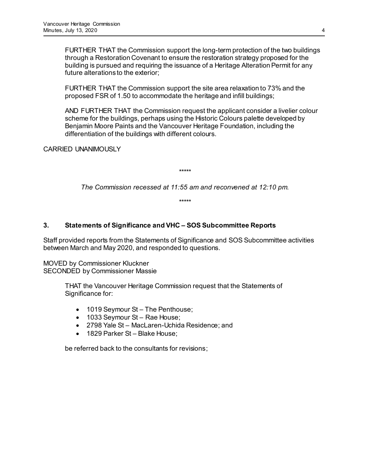FURTHER THAT the Commission support the long-term protection of the two buildings through a Restoration Covenant to ensure the restoration strategy proposed for the building is pursued and requiring the issuance of a Heritage Alteration Permit for any future alterations to the exterior;

FURTHER THAT the Commission support the site area relaxation to 73% and the proposed FSR of 1.50 to accommodate the heritage and infill buildings;

AND FURTHER THAT the Commission request the applicant consider a livelier colour scheme for the buildings, perhaps using the Historic Colours palette developed by Benjamin Moore Paints and the Vancouver Heritage Foundation, including the differentiation of the buildings with different colours.

CARRIED UNANIMOUSLY

\*\*\*\*\*

*The Commission recessed at 11:55 am and reconvened at 12:10 pm.*

\*\*\*\*\*

# **3. Statements of Significance and VHC – SOS Subcommittee Reports**

Staff provided reports from the Statements of Significance and SOS Subcommittee activities between March and May 2020, and responded to questions.

MOVED by Commissioner Kluckner SECONDED by Commissioner Massie

> THAT the Vancouver Heritage Commission request that the Statements of Significance for:

- 1019 Seymour St The Penthouse;
- 1033 Seymour St Rae House;
- 2798 Yale St MacLaren-Uchida Residence; and
- 1829 Parker St Blake House:

be referred back to the consultants for revisions;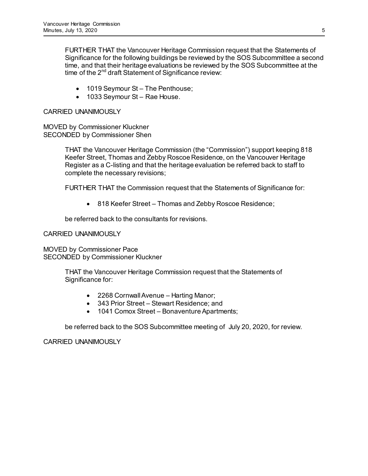FURTHER THAT the Vancouver Heritage Commission request that the Statements of Significance for the following buildings be reviewed by the SOS Subcommittee a second time, and that their heritage evaluations be reviewed by the SOS Subcommittee at the time of the  $2<sup>nd</sup>$  draft Statement of Significance review:

- 1019 Seymour St The Penthouse;
- 1033 Seymour St Rae House.

# CARRIED UNANIMOUSLY

MOVED by Commissioner Kluckner SECONDED by Commissioner Shen

> THAT the Vancouver Heritage Commission (the "Commission") support keeping 818 Keefer Street, Thomas and Zebby Roscoe Residence, on the Vancouver Heritage Register as a C-listing and that the heritage evaluation be referred back to staff to complete the necessary revisions;

FURTHER THAT the Commission request that the Statements of Significance for:

• 818 Keefer Street – Thomas and Zebby Roscoe Residence;

be referred back to the consultants for revisions.

CARRIED UNANIMOUSLY

MOVED by Commissioner Pace SECONDED by Commissioner Kluckner

> THAT the Vancouver Heritage Commission request that the Statements of Significance for:

- 2268 Cornwall Avenue Harting Manor;
- 343 Prior Street Stewart Residence; and
- 1041 Comox Street Bonaventure Apartments;

be referred back to the SOS Subcommittee meeting of July 20, 2020, for review.

CARRIED UNANIMOUSLY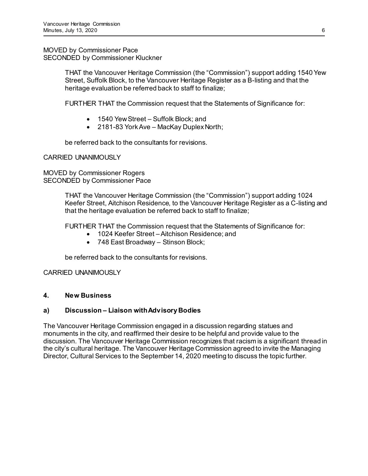MOVED by Commissioner Pace SECONDED by Commissioner Kluckner

> THAT the Vancouver Heritage Commission (the "Commission") support adding 1540 Yew Street, Suffolk Block, to the Vancouver Heritage Register as a B-listing and that the heritage evaluation be referred back to staff to finalize;

FURTHER THAT the Commission request that the Statements of Significance for:

- 1540 Yew Street Suffolk Block; and
- 2181-83 York Ave MacKay Duplex North;

be referred back to the consultants for revisions.

CARRIED UNANIMOUSLY

MOVED by Commissioner Rogers SECONDED by Commissioner Pace

> THAT the Vancouver Heritage Commission (the "Commission") support adding 1024 Keefer Street, Aitchison Residence, to the Vancouver Heritage Register as a C-listing and that the heritage evaluation be referred back to staff to finalize;

FURTHER THAT the Commission request that the Statements of Significance for:

- 1024 Keefer Street Aitchison Residence; and
- 748 East Broadway Stinson Block;

be referred back to the consultants for revisions.

# CARRIED UNANIMOUSLY

# **4. New Business**

# **a) Discussion – Liaison with Advisory Bodies**

The Vancouver Heritage Commission engaged in a discussion regarding statues and monuments in the city, and reaffirmed their desire to be helpful and provide value to the discussion. The Vancouver Heritage Commission recognizes that racism is a significant thread in the city's cultural heritage. The Vancouver Heritage Commission agreed to invite the Managing Director, Cultural Services to the September 14, 2020 meeting to discuss the topic further.